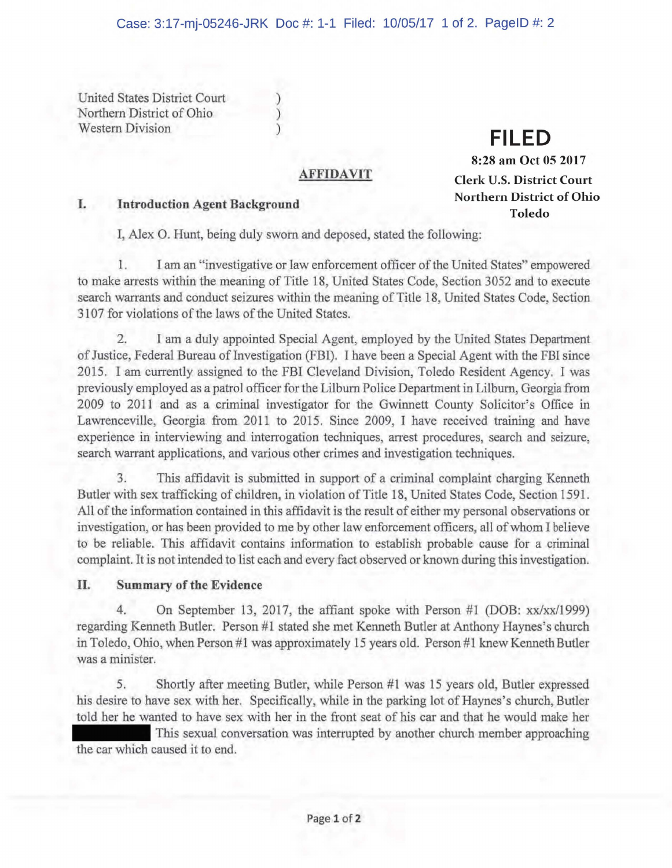United States District Court Northern District of Ohio Western Division

# ) **FILED**

## **AFFIDAVIT**

## I. **Introduction Agent Background**

**8:28 am Oct 05 2017 Clerk U.S. District Court Northern District of Ohio Toledo** 

I, Alex O. Hunt, being duly sworn and deposed, stated the following:

) )

I. I am an 'investigative or law enforcement officer of the United States" empowered to make arrests within the meaning of Title **18,** United States Code, Section 3052 and to execute search warrants and conduct seizures within the meaning of Title 18, United States Code, Section 3107 for violations of the laws of the United States.

2. I am a duly appointed Special Agent, employed by the United States Department of Justice Federal Bureau of Investigation (FBI). I have been a Special Agent with the FBI since 2015. I am currently assigned to the FBI Cleveland Division, Toledo Resident Agency. I was previously employed as a patrol officer for the Lilburn Police Department in Lilburn, Georgia from 2009 to 2011 and as a criminal investigator for the Gwinnett County Solicitor 's Office in Lawrenceville, Georgia from 2011 to 2015. Since 2009, I have received training and have experience in interviewing and interrogation techniques, arrest procedures, search and seizure, search warrant applications, and various other crimes and investigation techniques.

3. This affidavit is submitted in support of a criminal complaint charging Kenneth Butler with sex trafficking of children, in violation of Title 18, United States Code, Section 1591. All of the information contained in this affidavit is the result of either my personal observations or investigation, or has been provided to me by other law enforcement officers, all of whom I believe to be reliable. This affidavit contains information to establish probable cause for a criminal complaint. It is not intended to list each and every fact observed or known during this investigation.

## II. **Summary of the Evidence**

On September 13, 2017, the affiant spoke with Person #1 (DOB:  $xx/xx/1999$ ) regarding Kenneth Butler. Person #1 stated she met Kenneth Butler at Anthony Haynes's church in Toledo, Ohio, when Person #1 was approximately 15 years old. Person #1 knew Kenneth Butler was a minister.

5. Shortly after meeting Butler, while Person #1 was 15 years old, Butler expressed his desire to have sex with her. Specifically, while in the parking lot of Haynes's church, Butler told her he wanted to have sex with her in the front seat of his car and that he would make her

This sexual conversation was interrupted by another church member approaching the car which caused it to end.